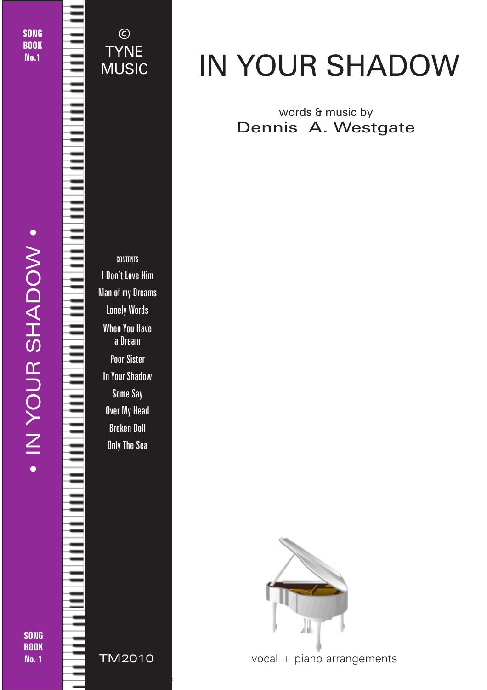SONG **BOOK** No.1

· IN YOUR SHADOW · • IN YOUR SHADOW •

© TYNE MUSIC



# IN YOUR SHADOW

### words & music by Dennis A. Westgate



© 2018 - In Your Shadow - TYNE MUSIC - tynemusiclimited@gmail.com

vocal + piano arrangements

SONG BOOK No. 1

TM2010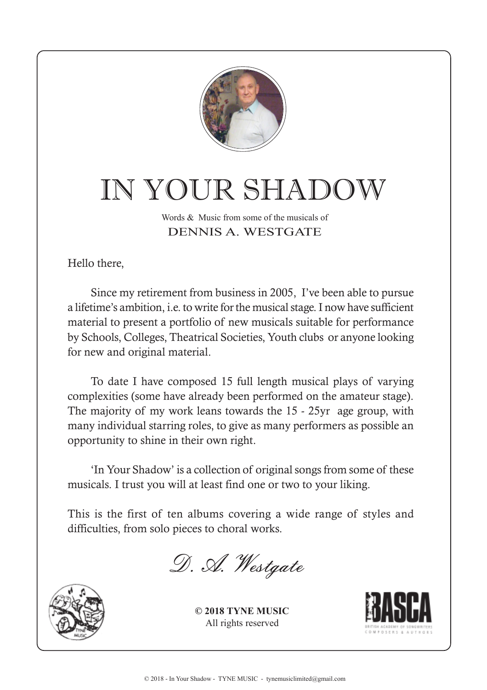

# IN YOUR SHADOW

#### Words & Music from some of the musicals of DENNIS A. WESTGATE

Hello there,

Since my retirement from business in 2005, I've been able to pursue a lifetime's ambition, i.e. to write for the musical stage. I now have sufficient material to present a portfolio of new musicals suitable for performance by Schools, Colleges, Theatrical Societies, Youth clubs or anyone looking for new and original material.

To date I have composed 15 full length musical plays of varying complexities (some have already been performed on the amateur stage). The majority of my work leans towards the 15 - 25yr age group, with many individual starring roles, to give as many performers as possible an opportunity to shine in their own right.

'In Your Shadow' is a collection of original songs from some of these musicals. I trust you will at least find one or two to your liking.

This is the first of ten albums covering a wide range of styles and difficulties, from solo pieces to choral works.

D. A. Westgate



**© 2018 TYNE MUSIC** All rights reserved

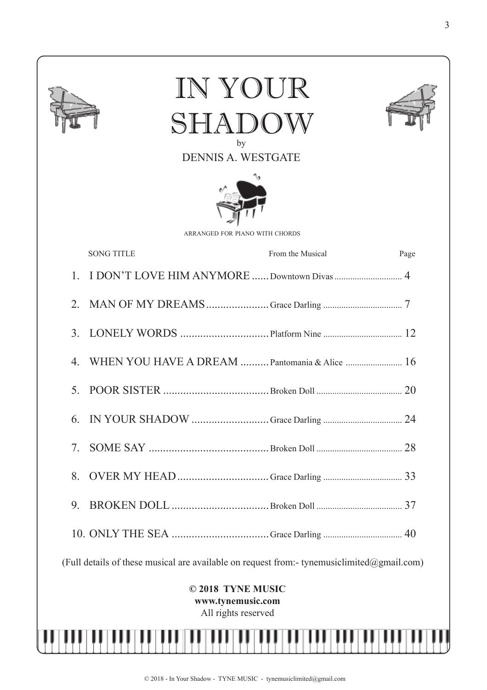|                                                                                            | IN YOUR<br>SHADC<br>by<br><b>DENNIS A. WESTGATE</b><br>ARRANGED FOR PIANO WITH CHORDS |      |
|--------------------------------------------------------------------------------------------|---------------------------------------------------------------------------------------|------|
|                                                                                            | <b>SONG TITLE</b><br>From the Musical                                                 | Page |
|                                                                                            | 1. I DON'T LOVE HIM ANYMORE  Downtown Divas  4                                        |      |
|                                                                                            |                                                                                       |      |
|                                                                                            |                                                                                       |      |
| $4_{\cdot}$                                                                                | WHEN YOU HAVE A DREAM  Pantomania & Alice  16                                         |      |
| 5 <sub>1</sub>                                                                             |                                                                                       |      |
| 6.                                                                                         |                                                                                       |      |
| 7.                                                                                         |                                                                                       |      |
| 8.                                                                                         |                                                                                       |      |
| 9.                                                                                         |                                                                                       |      |
|                                                                                            |                                                                                       |      |
| (Full details of these musical are available on request from:- tynemusiclimited@gmail.com) |                                                                                       |      |
| © 2018 TYNE MUSIC<br>www.tynemusic.com<br>All rights reserved                              |                                                                                       |      |
|                                                                                            |                                                                                       |      |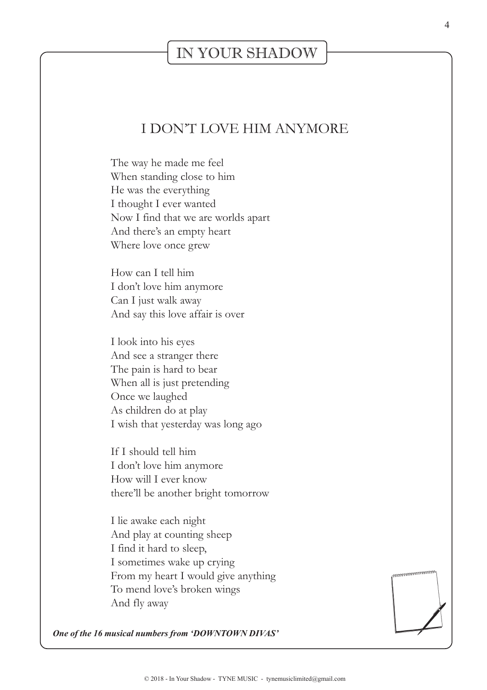### IN YOUR SHADOW

#### I DON'T LOVE HIM ANYMORE

The way he made me feel When standing close to him He was the everything I thought I ever wanted Now I find that we are worlds apart And there's an empty heart Where love once grew

How can I tell him I don't love him anymore Can I just walk away And say this love affair is over

I look into his eyes And see a stranger there The pain is hard to bear When all is just pretending Once we laughed As children do at play I wish that yesterday was long ago

If I should tell him I don't love him anymore How will I ever know there'll be another bright tomorrow

I lie awake each night And play at counting sheep I find it hard to sleep, I sometimes wake up crying From my heart I would give anything To mend love's broken wings And fly away



*One of the 16 musical numbers from 'DOWNTOWN DIVAS'*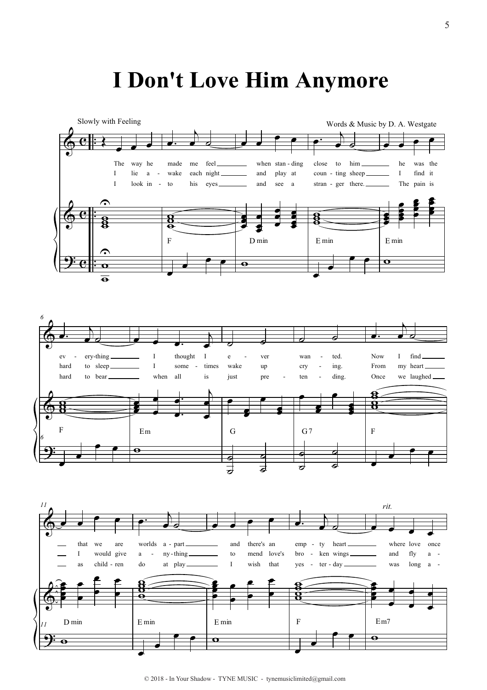## I Don't Love Him Anymore



 $© 2018 - In Your Shadow - TYNE MUSIC - typemusiclimited@gmail.com$ 

 $\overline{\mathbf{O}}$ 

Ò

 $\bullet$